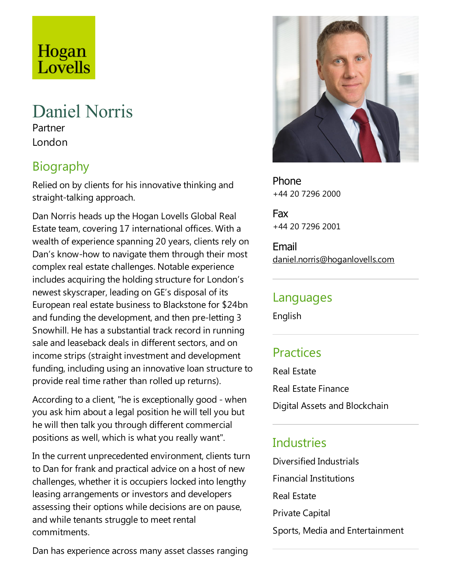# Hogan Lovells

## Daniel Norris

Partner London

## Biography

Relied on by clients for his innovative thinking and straight-talking approach.

Dan Norris heads up the Hogan Lovells Global Real Estate team, covering 17 international offices. With a wealth of experience spanning 20 years, clients rely on Dan's know-how to navigate them through their most complex real estate challenges. Notable experience includes acquiring the holding structure for London's newest skyscraper, leading on GE's disposal of its European real estate business to Blackstone for \$24bn and funding the development, and then pre-letting 3 Snowhill. He has a substantial track record in running sale and leaseback deals in different sectors, and on income strips (straight investment and development funding, including using an innovative loan structure to provide real time rather than rolled up returns).

According to a client, "he is exceptionally good - when you ask him about a legal position he will tell you but he will then talk you through different commercial positions as well, which is what you really want".

In the current unprecedented environment, clients turn to Dan for frank and practical advice on a host of new challenges, whether it is occupiers locked into lengthy leasing arrangements or investors and developers assessing their options while decisions are on pause, and while tenants struggle to meet rental commitments.



Fax +44 20 7296 2001

Email daniel.norris@hoganlovells.com

#### Languages

English

## **Practices**

Real Estate

Real Estate Finance Digital Assets and Blockchain

## Industries

Diversified Industrials Financial Institutions Real Estate Private Capital Sports, Media and Entertainment

Dan has experience across many asset classes ranging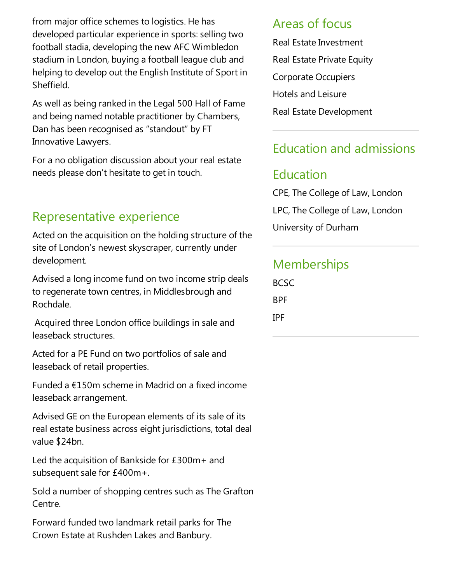from major office schemes to logistics. He has developed particular experience in sports: selling two football stadia, developing the new AFC Wimbledon stadium in London, buying a football league club and helping to develop out the English Institute of Sport in Sheffield.

As well as being ranked in theLegal 500 Hall of Fame and being named notable practitioner by Chambers, Dan has been recognised as "standout" by FT Innovative Lawyers.

For a no obligation discussion about your real estate needs please don't hesitate to get in touch.

## Representative experience

Acted on the acquisition on the holding structure of the site of London's newest skyscraper, currently under development.

Advised a long income fund on two income strip deals to regenerate town centres, in Middlesbrough and Rochdale.

Acquired three London office buildings in sale and leaseback structures.

Acted for a PE Fund on two portfolios of sale and leaseback of retail properties.

Funded a  $£150m$  scheme in Madrid on a fixed income leaseback arrangement.

Advised GE on the European elements of its sale of its real estate business across eight jurisdictions, total deal value \$24bn.

Led the acquisition of Bankside for  $£300m+$  and subsequent sale for £400m+.

Sold a number of shopping centres such as The Grafton Centre.

Forward funded two landmark retail parks for The Crown Estate at Rushden Lakes and Banbury.

#### Areas of focus

Real Estate Investment Real Estate Private Equity Corporate Occupiers Hotels and Leisure Real Estate Development

## Education and admissions

#### Education

CPE, The College of Law, London LPC, The College of Law, London University of Durham

## **Memberships**

BCSC BPF IPF